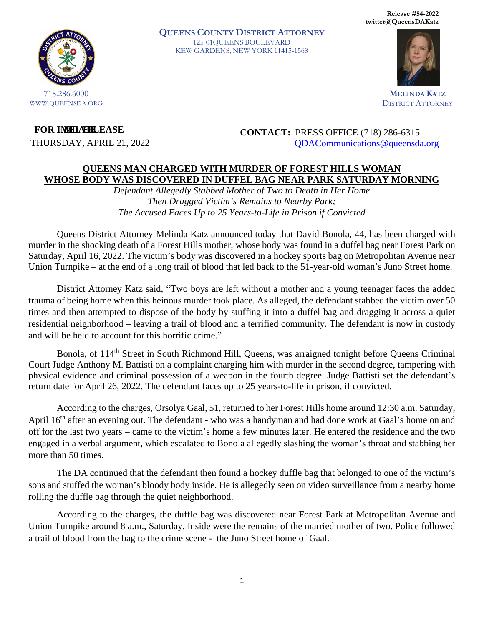**Release #54-2022 twitter@QueensDAKatz**



WWW.QUEENSDA.ORG

**QUEENS COUNTY DISTRICT ATTORNEY** 125-01QUEENS BOULEVARD KEW GARDENS, NEW YORK 11415-1568



**MELINDA KATZ** DISTRICT ATTORNEY

 $FOR$  **IMMERLEASE** 

THURSDAY, APRIL 21, 2022

**CONTACT:** PRESS OFFICE (718) 286-6315 [QDACommunications@queensda.org](mailto:QDACommunications@queensda.org)

## **QUEENS MAN CHARGED WITH MURDER OF FOREST HILLS WOMAN WHOSE BODY WAS DISCOVERED IN DUFFEL BAG NEAR PARK SATURDAY MORNING**

*Defendant Allegedly Stabbed Mother of Two to Death in Her Home Then Dragged Victim's Remains to Nearby Park; The Accused Faces Up to 25 Years-to-Life in Prison if Convicted* 

Queens District Attorney Melinda Katz announced today that David Bonola, 44, has been charged with murder in the shocking death of a Forest Hills mother, whose body was found in a duffel bag near Forest Park on Saturday, April 16, 2022. The victim's body was discovered in a hockey sports bag on Metropolitan Avenue near Union Turnpike – at the end of a long trail of blood that led back to the 51-year-old woman's Juno Street home.

District Attorney Katz said, "Two boys are left without a mother and a young teenager faces the added trauma of being home when this heinous murder took place. As alleged, the defendant stabbed the victim over 50 times and then attempted to dispose of the body by stuffing it into a duffel bag and dragging it across a quiet residential neighborhood – leaving a trail of blood and a terrified community. The defendant is now in custody and will be held to account for this horrific crime."

Bonola, of 114<sup>th</sup> Street in South Richmond Hill, Queens, was arraigned tonight before Queens Criminal Court Judge Anthony M. Battisti on a complaint charging him with murder in the second degree, tampering with physical evidence and criminal possession of a weapon in the fourth degree. Judge Battisti set the defendant's return date for April 26, 2022. The defendant faces up to 25 years-to-life in prison, if convicted.

According to the charges, Orsolya Gaal, 51, returned to her Forest Hills home around 12:30 a.m. Saturday, April 16<sup>th</sup> after an evening out. The defendant - who was a handyman and had done work at Gaal's home on and off for the last two years – came to the victim's home a few minutes later. He entered the residence and the two engaged in a verbal argument, which escalated to Bonola allegedly slashing the woman's throat and stabbing her more than 50 times.

The DA continued that the defendant then found a hockey duffle bag that belonged to one of the victim's sons and stuffed the woman's bloody body inside. He is allegedly seen on video surveillance from a nearby home rolling the duffle bag through the quiet neighborhood.

According to the charges, the duffle bag was discovered near Forest Park at Metropolitan Avenue and Union Turnpike around 8 a.m., Saturday. Inside were the remains of the married mother of two. Police followed a trail of blood from the bag to the crime scene - the Juno Street home of Gaal.